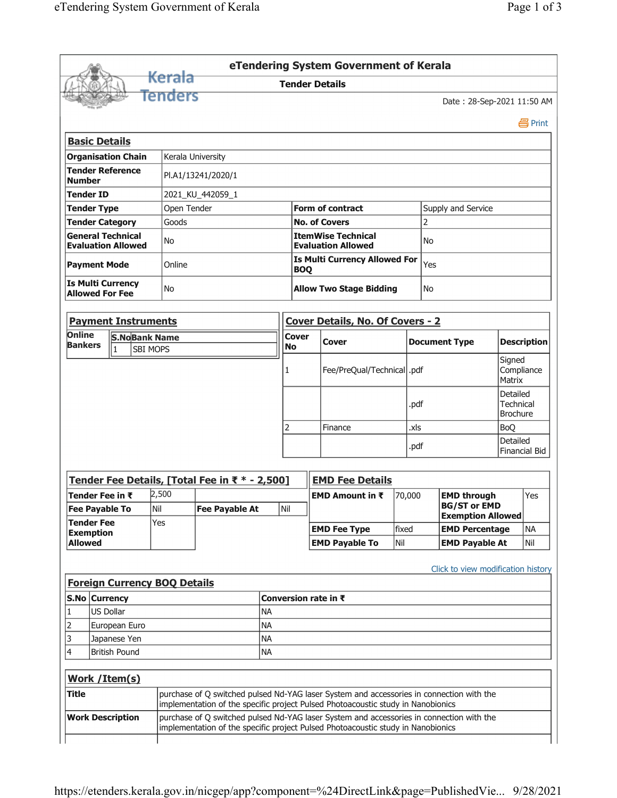|                                                          |                                        |                                     |                                                |           |                                      | eTendering System Government of Kerala                                                                                                                                       |        |      |                                                 |                                                 |                    |  |
|----------------------------------------------------------|----------------------------------------|-------------------------------------|------------------------------------------------|-----------|--------------------------------------|------------------------------------------------------------------------------------------------------------------------------------------------------------------------------|--------|------|-------------------------------------------------|-------------------------------------------------|--------------------|--|
|                                                          |                                        | Kerala                              |                                                |           |                                      | <b>Tender Details</b>                                                                                                                                                        |        |      |                                                 |                                                 |                    |  |
|                                                          |                                        | Tenders                             |                                                |           |                                      |                                                                                                                                                                              |        |      | Date: 28-Sep-2021 11:50 AM                      |                                                 |                    |  |
|                                                          |                                        |                                     |                                                |           |                                      |                                                                                                                                                                              |        |      |                                                 |                                                 | 昌 Print            |  |
| <b>Basic Details</b>                                     |                                        |                                     |                                                |           |                                      |                                                                                                                                                                              |        |      |                                                 |                                                 |                    |  |
| <b>Organisation Chain</b>                                |                                        |                                     | Kerala University                              |           |                                      |                                                                                                                                                                              |        |      |                                                 |                                                 |                    |  |
| <b>Tender Reference</b><br><b>Number</b>                 |                                        |                                     | PI.A1/13241/2020/1                             |           |                                      |                                                                                                                                                                              |        |      |                                                 |                                                 |                    |  |
| <b>Tender ID</b>                                         |                                        |                                     | 2021_KU_442059_1                               |           |                                      |                                                                                                                                                                              |        |      |                                                 |                                                 |                    |  |
| <b>Tender Type</b>                                       |                                        | Open Tender                         |                                                |           |                                      | <b>Form of contract</b>                                                                                                                                                      |        |      | Supply and Service                              |                                                 |                    |  |
| <b>Tender Category</b>                                   |                                        | Goods                               |                                                |           |                                      | <b>No. of Covers</b>                                                                                                                                                         |        | 2    |                                                 |                                                 |                    |  |
| <b>General Technical</b><br><b>Evaluation Allowed</b>    |                                        | <b>No</b>                           |                                                |           |                                      | <b>ItemWise Technical</b><br><b>Evaluation Allowed</b>                                                                                                                       |        | No   |                                                 |                                                 |                    |  |
| <b>Payment Mode</b>                                      |                                        | Online                              |                                                |           | <b>BOQ</b>                           | <b>Is Multi Currency Allowed For</b>                                                                                                                                         |        | Yes  |                                                 |                                                 |                    |  |
| <b>Is Multi Currency</b><br>No<br><b>Allowed For Fee</b> |                                        |                                     |                                                |           | <b>Allow Two Stage Bidding</b><br>No |                                                                                                                                                                              |        |      |                                                 |                                                 |                    |  |
| <b>Payment Instruments</b>                               |                                        |                                     |                                                |           |                                      | Cover Details, No. Of Covers - 2                                                                                                                                             |        |      |                                                 |                                                 |                    |  |
| Online<br><b>Bankers</b>                                 | <b>S.NoBank Name</b><br>$\overline{1}$ | <b>SBI MOPS</b>                     |                                                |           | Cover<br><b>No</b>                   | Cover                                                                                                                                                                        |        |      | <b>Document Type</b>                            |                                                 | <b>Description</b> |  |
|                                                          |                                        |                                     |                                                | 1         | Fee/PreQual/Technical  .pdf          |                                                                                                                                                                              |        |      |                                                 | Signed<br>Compliance<br>Matrix                  |                    |  |
|                                                          |                                        |                                     |                                                |           |                                      |                                                                                                                                                                              |        | .pdf |                                                 | Detailed<br><b>Technical</b><br><b>Brochure</b> |                    |  |
|                                                          |                                        |                                     |                                                |           | 2                                    | Finance                                                                                                                                                                      | .xls   |      |                                                 | <b>BoO</b>                                      |                    |  |
|                                                          |                                        |                                     |                                                |           |                                      |                                                                                                                                                                              |        | .pdf |                                                 | Detailed<br>Financial Bid                       |                    |  |
|                                                          |                                        |                                     | Tender Fee Details, [Total Fee in ₹ * - 2,500] |           |                                      | <b>EMD Fee Details</b>                                                                                                                                                       |        |      |                                                 |                                                 |                    |  |
| Tender Fee in ₹                                          |                                        | 2,500                               |                                                |           |                                      | <b>EMD Amount in <math>\bar{x}</math></b>                                                                                                                                    | 70,000 |      | <b>EMD through</b>                              |                                                 | Yes                |  |
| <b>Fee Payable To</b><br><b>Tender Fee</b>               |                                        | Nil<br>Yes                          | <b>Fee Payable At</b>                          |           | Nil                                  |                                                                                                                                                                              |        |      | <b>BG/ST or EMD</b><br><b>Exemption Allowed</b> |                                                 |                    |  |
| <b>Exemption</b>                                         |                                        |                                     |                                                |           |                                      | <b>EMD Fee Type</b>                                                                                                                                                          | fixed  |      | <b>EMD Percentage</b>                           |                                                 | <b>NA</b>          |  |
| <b>Allowed</b>                                           |                                        |                                     |                                                |           |                                      | <b>EMD Payable To</b>                                                                                                                                                        | Nil    |      | <b>EMD Payable At</b>                           |                                                 | Nil                |  |
|                                                          |                                        |                                     |                                                |           |                                      |                                                                                                                                                                              |        |      | Click to view modification history              |                                                 |                    |  |
|                                                          |                                        | <b>Foreign Currency BOQ Details</b> |                                                |           |                                      |                                                                                                                                                                              |        |      |                                                 |                                                 |                    |  |
| S.No Currency                                            |                                        |                                     |                                                |           |                                      | Conversion rate in ₹                                                                                                                                                         |        |      |                                                 |                                                 |                    |  |
| <b>US Dollar</b><br>1                                    |                                        |                                     | <b>NA</b>                                      |           |                                      |                                                                                                                                                                              |        |      |                                                 |                                                 |                    |  |
| 2                                                        | European Euro                          | <b>NA</b>                           |                                                |           |                                      |                                                                                                                                                                              |        |      |                                                 |                                                 |                    |  |
| 3                                                        | <b>NA</b><br>Japanese Yen              |                                     |                                                |           |                                      |                                                                                                                                                                              |        |      |                                                 |                                                 |                    |  |
| 4                                                        | <b>British Pound</b>                   |                                     |                                                | <b>NA</b> |                                      |                                                                                                                                                                              |        |      |                                                 |                                                 |                    |  |
| <b>Work / Item(s)</b>                                    |                                        |                                     |                                                |           |                                      |                                                                                                                                                                              |        |      |                                                 |                                                 |                    |  |
| <b>Title</b>                                             |                                        |                                     |                                                |           |                                      | purchase of Q switched pulsed Nd-YAG laser System and accessories in connection with the<br>implementation of the specific project Pulsed Photoacoustic study in Nanobionics |        |      |                                                 |                                                 |                    |  |
| <b>Work Description</b>                                  |                                        |                                     |                                                |           |                                      | purchase of Q switched pulsed Nd-YAG laser System and accessories in connection with the<br>implementation of the specific project Pulsed Photoacoustic study in Nanobionics |        |      |                                                 |                                                 |                    |  |
|                                                          |                                        |                                     |                                                |           |                                      |                                                                                                                                                                              |        |      |                                                 |                                                 |                    |  |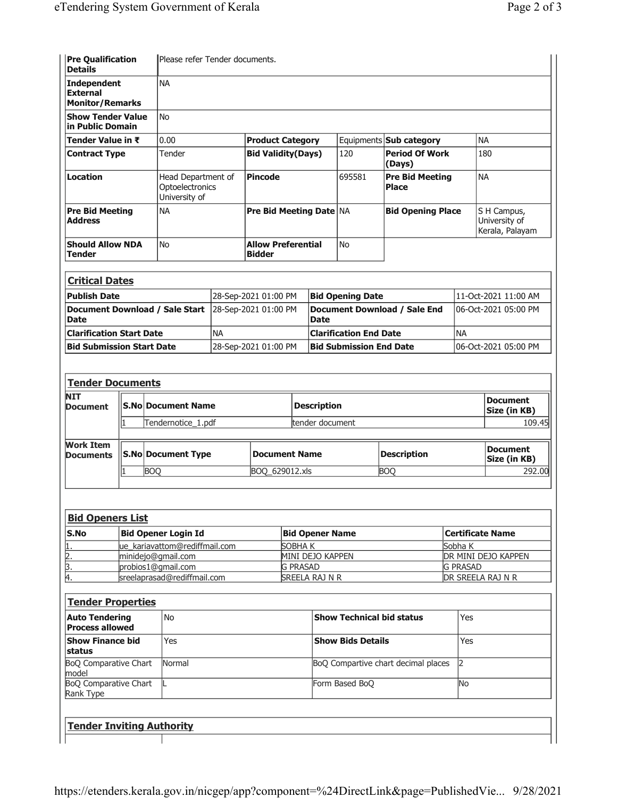| <b>Pre Qualification</b><br>Please refer Tender documents.<br><b>Details</b> |                                                        |                                            |                                |                                             |           |                                        |           |                                                 |  |
|------------------------------------------------------------------------------|--------------------------------------------------------|--------------------------------------------|--------------------------------|---------------------------------------------|-----------|----------------------------------------|-----------|-------------------------------------------------|--|
| <b>NA</b><br><b>Independent</b><br><b>External</b><br><b>Monitor/Remarks</b> |                                                        |                                            |                                |                                             |           |                                        |           |                                                 |  |
| <b>Show Tender Value</b><br>in Public Domain                                 | <b>No</b>                                              |                                            |                                |                                             |           |                                        |           |                                                 |  |
| Tender Value in ₹                                                            | 0.00                                                   | <b>Product Category</b>                    |                                |                                             |           | Equipments <b>Sub category</b>         | <b>NA</b> |                                                 |  |
| <b>Contract Type</b>                                                         | Tender                                                 |                                            | <b>Bid Validity(Days)</b>      |                                             | 120       | <b>Period Of Work</b><br>(Days)        |           | 180                                             |  |
| <b>Location</b>                                                              | Head Department of<br>Optoelectronics<br>University of |                                            | <b>Pincode</b>                 |                                             | 695581    | <b>Pre Bid Meeting</b><br><b>Place</b> |           | <b>NA</b>                                       |  |
| <b>Pre Bid Meeting</b><br><b>Address</b>                                     | <b>NA</b>                                              |                                            | <b>Pre Bid Meeting Date NA</b> |                                             |           | <b>Bid Opening Place</b>               |           | S H Campus,<br>University of<br>Kerala, Palayam |  |
| <b>Should Allow NDA</b><br>No<br>Tender                                      |                                                        | <b>Allow Preferential</b><br><b>Bidder</b> |                                |                                             | <b>No</b> |                                        |           |                                                 |  |
| <b>Critical Dates</b>                                                        |                                                        |                                            |                                |                                             |           |                                        |           |                                                 |  |
| <b>Publish Date</b>                                                          |                                                        | 28-Sep-2021 01:00 PM                       |                                | <b>Bid Opening Date</b>                     |           | 11-Oct-2021 11:00 AM                   |           |                                                 |  |
| Document Download / Sale Start<br><b>Date</b>                                |                                                        | 28-Sep-2021 01:00 PM                       |                                | Document Download / Sale End<br><b>Date</b> |           | 06-Oct-2021 05:00 PM                   |           |                                                 |  |
| <b>Clarification Start Date</b>                                              |                                                        | <b>NA</b>                                  |                                | <b>Clarification End Date</b>               |           |                                        | <b>NA</b> |                                                 |  |
| <b>Bid Submission Start Date</b>                                             | 28-Sep-2021 01:00 PM                                   |                                            | <b>Bid Submission End Date</b> |                                             |           | 06-Oct-2021 05:00 PM                   |           |                                                 |  |

| <b>Tender Documents</b>              |                           |                |                    |                    |                                 |
|--------------------------------------|---------------------------|----------------|--------------------|--------------------|---------------------------------|
| <b>NIT</b><br><b>Document</b>        | <b>S.No Document Name</b> |                | <b>Description</b> |                    | <b>Document</b><br>Size (in KB) |
|                                      | Tendernotice 1.pdf        |                | tender document    |                    | 109.45                          |
|                                      |                           |                |                    |                    |                                 |
| <b>Work Item</b><br><b>Documents</b> | <b>S.No Document Type</b> | Document Name  |                    | <b>Description</b> | <b>Document</b><br>Size (in KB) |
|                                      | <b>BOO</b>                | BOQ 629012.xls |                    | <b>BOO</b>         | 292.00                          |
|                                      |                           |                |                    |                    |                                 |

| <b>Bid Openers List</b> |                               |                        |                             |  |  |  |
|-------------------------|-------------------------------|------------------------|-----------------------------|--|--|--|
| <b>S.No</b>             | Bid Opener Login Id           | <b>Bid Opener Name</b> | Certificate Name            |  |  |  |
|                         | ue_kariavattom@rediffmail.com | SOBHA K                | Sobha K                     |  |  |  |
| 2.                      | minidejo@gmail.com            | MINI DEJO KAPPEN       | <b>IDR MINI DEJO KAPPEN</b> |  |  |  |
| ß.                      | probios1@gmail.com            | <b>G PRASAD</b>        | <b>IG PRASAD</b>            |  |  |  |
| Ι4.                     | sreelaprasad@rediffmail.com   | SREELA RAJ N R         | <b>DR SREELA RAJ N R</b>    |  |  |  |

| <b>Tender Properties</b>                        |               |                                     |     |  |  |
|-------------------------------------------------|---------------|-------------------------------------|-----|--|--|
| <b>Auto Tendering</b><br><b>Process allowed</b> | l No          | Show Technical bid status           | Yes |  |  |
| <b>Show Finance bid</b><br><b>status</b>        | Yes           | <b>Show Bids Details</b>            | Yes |  |  |
| BoQ Comparative Chart<br>model                  | <b>Normal</b> | BoQ Compartive chart decimal places |     |  |  |
| BoQ Comparative Chart<br>Rank Type              |               | Form Based BoQ                      | lNo |  |  |
| <b>Tender Inviting Authority</b>                |               |                                     |     |  |  |